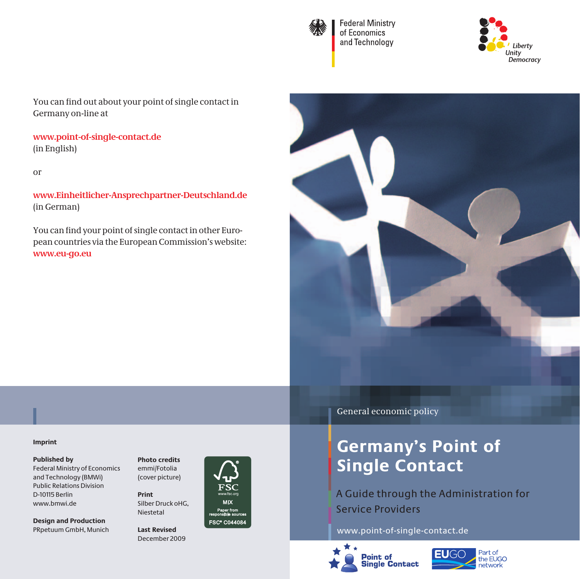

**Federal Ministry** of Economics and Technology



You can find out about your point of single contact in Germany on-line at

**www.point-of-single-contact.de**  (in English)

or

**www.Einheitlicher-Ansprechpartner-Deutschland.de** (in German)

You can find your point of single contact in other European countries via the European Commission's website: **www.eu-go.eu**



#### **Imprint**

#### **Published by**

Federal Ministry of Economics and Technology (BMWi) Public Relations Division D-10115 Berlin www.bmwi.de

**Design and Production** PRpetuum GmbH, Munich **Photo credits** emmi/Fotolia (cover picture)

**Print** Silber Druck oHG, Niestetal

**Last Revised** December 2009



General economic policy

## **Germany's Point of Single Contact**

A Guide through the Administration for Service Providers

www.point-of-single-contact.de